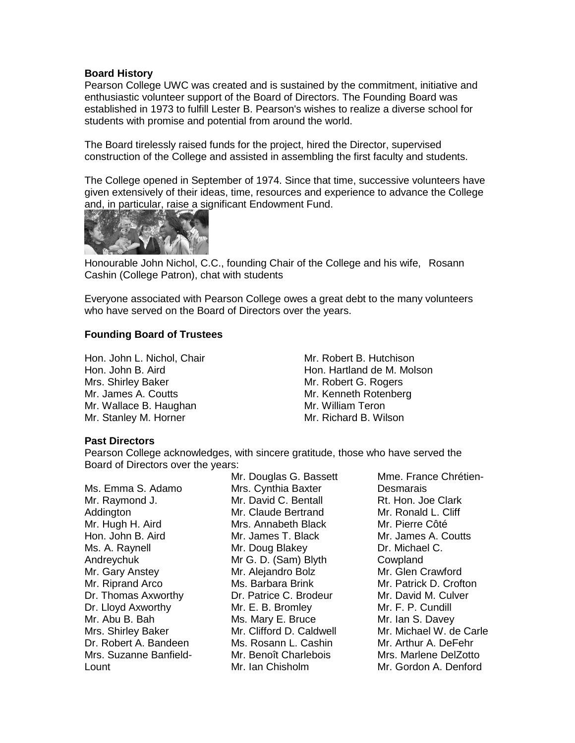## **Board History**

Pearson College UWC was created and is sustained by the commitment, initiative and enthusiastic volunteer support of the Board of Directors. The Founding Board was established in 1973 to fulfill Lester B. Pearson's wishes to realize a diverse school for students with promise and potential from around the world.

The Board tirelessly raised funds for the project, hired the Director, supervised construction of the College and assisted in assembling the first faculty and students.

The College opened in September of 1974. Since that time, successive volunteers have given extensively of their ideas, time, resources and experience to advance the College and, in particular, raise a significant Endowment Fund.



Honourable John Nichol, C.C., founding Chair of the College and his wife, Rosann Cashin (College Patron), chat with students

Everyone associated with Pearson College owes a great debt to the many volunteers who have served on the Board of Directors over the years.

## **Founding Board of Trustees**

Hon. John L. Nichol, Chair Hon. John B. Aird Mrs. Shirley Baker Mr. James A. Coutts Mr. Wallace B. Haughan Mr. Stanley M. Horner

Mr. Robert B. Hutchison Hon. Hartland de M. Molson Mr. Robert G. Rogers Mr. Kenneth Rotenberg Mr. William Teron Mr. Richard B. Wilson

## **Past Directors**

Pearson College acknowledges, with sincere gratitude, those who have served the Board of Directors over the years:

|                        | Mr. Douglas G. Bassett   | Mme. France Chrétien-   |
|------------------------|--------------------------|-------------------------|
| Ms. Emma S. Adamo      | Mrs. Cynthia Baxter      | <b>Desmarais</b>        |
| Mr. Raymond J.         | Mr. David C. Bentall     | Rt. Hon. Joe Clark      |
| Addington              | Mr. Claude Bertrand      | Mr. Ronald L. Cliff     |
| Mr. Hugh H. Aird       | Mrs. Annabeth Black      | Mr. Pierre Côté         |
| Hon. John B. Aird      | Mr. James T. Black       | Mr. James A. Coutts     |
| Ms. A. Raynell         | Mr. Doug Blakey          | Dr. Michael C.          |
| Andreychuk             | Mr G. D. (Sam) Blyth     | Cowpland                |
| Mr. Gary Anstey        | Mr. Alejandro Bolz       | Mr. Glen Crawford       |
| Mr. Riprand Arco       | Ms. Barbara Brink        | Mr. Patrick D. Crofton  |
| Dr. Thomas Axworthy    | Dr. Patrice C. Brodeur   | Mr. David M. Culver     |
| Dr. Lloyd Axworthy     | Mr. E. B. Bromley        | Mr. F. P. Cundill       |
| Mr. Abu B. Bah         | Ms. Mary E. Bruce        | Mr. Ian S. Davey        |
| Mrs. Shirley Baker     | Mr. Clifford D. Caldwell | Mr. Michael W. de Carle |
| Dr. Robert A. Bandeen  | Ms. Rosann L. Cashin     | Mr. Arthur A. DeFehr    |
| Mrs. Suzanne Banfield- | Mr. Benoît Charlebois    | Mrs. Marlene DelZotto   |
| Lount                  | Mr. Ian Chisholm         | Mr. Gordon A. Denford   |
|                        |                          |                         |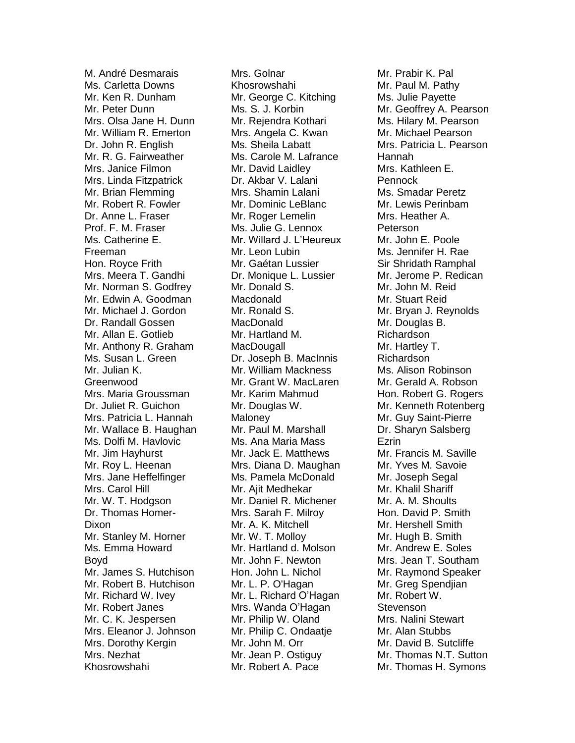M. André Desmarais Ms. Carletta Downs Mr. Ken R. Dunham Mr. Peter Dunn Mrs. Olsa Jane H. Dunn Mr. William R. Emerton Dr. John R. English Mr. R. G. Fairweather Mrs. Janice Filmon Mrs. Linda Fitzpatrick Mr. Brian Flemming Mr. Robert R. Fowler Dr. Anne L. Fraser Prof. F. M. Fraser Ms. Catherine E. Freeman Hon. Royce Frith Mrs. Meera T. Gandhi Mr. Norman S. Godfrey Mr. Edwin A. Goodman Mr. Michael J. Gordon Dr. Randall Gossen Mr. Allan E. Gotlieb Mr. Anthony R. Graham Ms. Susan L. Green Mr. Julian K. Greenwood Mrs. Maria Groussman Dr. Juliet R. Guichon Mrs. Patricia L. Hannah Mr. Wallace B. Haughan Ms. Dolfi M. Havlovic Mr. Jim Hayhurst Mr. Roy L. Heenan Mrs. Jane Heffelfinger Mrs. Carol Hill Mr. W. T. Hodgson Dr. Thomas Homer-Dixon Mr. Stanley M. Horner Ms. Emma Howard Boyd Mr. James S. Hutchison Mr. Robert B. Hutchison Mr. Richard W. Ivey Mr. Robert Janes Mr. C. K. Jespersen Mrs. Eleanor J. Johnson Mrs. Dorothy Kergin Mrs. Nezhat Khosrowshahi

Mrs. Golnar Khosrowshahi Mr. George C. Kitching Ms. S. J. Korbin Mr. Rejendra Kothari Mrs. Angela C. Kwan Ms. Sheila Labatt Ms. Carole M. Lafrance Mr. David Laidley Dr. Akbar V. Lalani Mrs. Shamin Lalani Mr. Dominic LeBlanc Mr. Roger Lemelin Ms. Julie G. Lennox Mr. Willard J. L'Heureux Mr. Leon Lubin Mr. Gaétan Lussier Dr. Monique L. Lussier Mr. Donald S. Macdonald Mr. Ronald S. MacDonald Mr. Hartland M. **MacDougall** Dr. Joseph B. MacInnis Mr. William Mackness Mr. Grant W. MacLaren Mr. Karim Mahmud Mr. Douglas W. **Maloney** Mr. Paul M. Marshall Ms. Ana Maria Mass Mr. Jack E. Matthews Mrs. Diana D. Maughan Ms. Pamela McDonald Mr. Aiit Medhekar Mr. Daniel R. Michener Mrs. Sarah F. Milroy Mr. A. K. Mitchell Mr. W. T. Molloy Mr. Hartland d. Molson Mr. John F. Newton Hon. John L. Nichol Mr. L. P. O'Hagan Mr. L. Richard O'Hagan Mrs. Wanda O'Hagan Mr. Philip W. Oland Mr. Philip C. Ondaatje Mr. John M. Orr Mr. Jean P. Ostiguy Mr. Robert A. Pace

Mr. Prabir K. Pal Mr. Paul M. Pathy Ms. Julie Payette Mr. Geoffrey A. Pearson Ms. Hilary M. Pearson Mr. Michael Pearson Mrs. Patricia L. Pearson Hannah Mrs. Kathleen E. **Pennock** Ms. Smadar Peretz Mr. Lewis Perinbam Mrs. Heather A. Peterson Mr. John E. Poole Ms. Jennifer H. Rae Sir Shridath Ramphal Mr. Jerome P. Redican Mr. John M. Reid Mr. Stuart Reid Mr. Bryan J. Reynolds Mr. Douglas B. Richardson Mr. Hartley T. Richardson Ms. Alison Robinson Mr. Gerald A. Robson Hon. Robert G. Rogers Mr. Kenneth Rotenberg Mr. Guy Saint-Pierre Dr. Sharyn Salsberg Ezrin Mr. Francis M. Saville Mr. Yves M. Savoie Mr. Joseph Segal Mr. Khalil Shariff Mr. A. M. Shoults Hon. David P. Smith Mr. Hershell Smith Mr. Hugh B. Smith Mr. Andrew E. Soles Mrs. Jean T. Southam Mr. Raymond Speaker Mr. Greg Spendjian Mr. Robert W. **Stevenson** Mrs. Nalini Stewart Mr. Alan Stubbs Mr. David B. Sutcliffe Mr. Thomas N.T. Sutton Mr. Thomas H. Symons